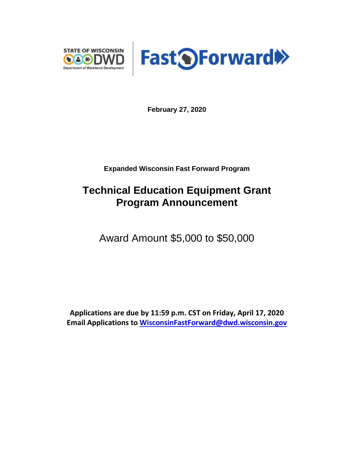



**February 27, 2020**

**Expanded Wisconsin Fast Forward Program**

# **Technical Education Equipment Grant Program Announcement**

Award Amount \$5,000 to \$50,000

**Applications are due by 11:59 p.m. CST on Friday, April 17, 2020 Email Applications to [WisconsinFastForward@dwd.wisconsin.gov](mailto:WisconsinFastForward@dwd.wisconsin.gov)**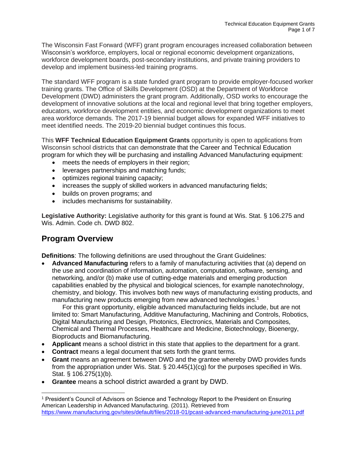The Wisconsin Fast Forward (WFF) grant program encourages increased collaboration between Wisconsin's workforce, employers, local or regional economic development organizations, workforce development boards, post-secondary institutions, and private training providers to develop and implement business-led training programs.

The standard WFF program is a state funded grant program to provide employer-focused worker training grants. The Office of Skills Development (OSD) at the Department of Workforce Development (DWD) administers the grant program. Additionally, OSD works to encourage the development of innovative solutions at the local and regional level that bring together employers, educators, workforce development entities, and economic development organizations to meet area workforce demands. The 2017-19 biennial budget allows for expanded WFF initiatives to meet identified needs. The 2019-20 biennial budget continues this focus.

This **WFF Technical Education Equipment Grants** opportunity is open to applications from Wisconsin school districts that can demonstrate that the Career and Technical Education program for which they will be purchasing and installing Advanced Manufacturing equipment:

- meets the needs of employers in their region;
- leverages partnerships and matching funds;
- optimizes regional training capacity;
- increases the supply of skilled workers in advanced manufacturing fields;
- builds on proven programs; and
- includes mechanisms for sustainability.

**Legislative Authority:** Legislative authority for this grant is found at Wis. Stat. § 106.275 and Wis. Admin. Code ch. DWD 802.

# **Program Overview**

**Definitions**: The following definitions are used throughout the Grant Guidelines:

• **Advanced Manufacturing** refers to a family of manufacturing activities that (a) depend on the use and coordination of information, automation, computation, software, sensing, and networking, and/or (b) make use of cutting-edge materials and emerging production capabilities enabled by the physical and biological sciences, for example nanotechnology, chemistry, and biology. This involves both new ways of manufacturing existing products, and manufacturing new products emerging from new advanced technologies.<sup>1</sup>

For this grant opportunity, eligible advanced manufacturing fields include, but are not limited to: Smart Manufacturing, Additive Manufacturing, Machining and Controls, Robotics, Digital Manufacturing and Design, Photonics, Electronics, Materials and Composites, Chemical and Thermal Processes, Healthcare and Medicine, Biotechnology, Bioenergy, Bioproducts and Biomanufacturing.

- **Applicant** means a school district in this state that applies to the department for a grant.
- **Contract** means a legal document that sets forth the grant terms.
- **Grant** means an agreement between DWD and the grantee whereby DWD provides funds from the appropriation under Wis. Stat.  $\S 20.445(1)(cg)$  for the purposes specified in Wis. Stat. § 106.275(1)(b).
- **Grantee** means a school district awarded a grant by DWD.

<sup>1</sup> President's Council of Advisors on Science and Technology Report to the President on Ensuring American Leadership in Advanced Manufacturing. (2011). Retrieved from <https://www.manufacturing.gov/sites/default/files/2018-01/pcast-advanced-manufacturing-june2011.pdf>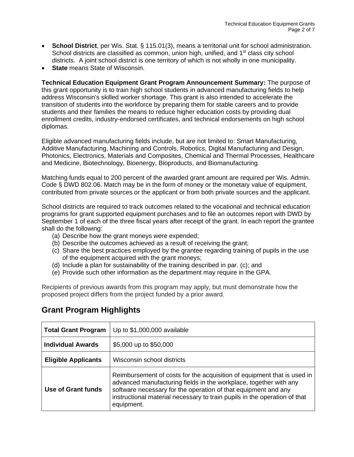- **School District**, per Wis. Stat. § 115.01(3), means a territorial unit for school administration. School districts are classified as common, union high, unified, and  $1<sup>st</sup>$  class city school districts. A joint school district is one territory of which is not wholly in one municipality.
- **State** means State of Wisconsin.

**Technical Education Equipment Grant Program Announcement Summary:** The purpose of this grant opportunity is to train high school students in advanced manufacturing fields to help address Wisconsin's skilled worker shortage. This grant is also intended to accelerate the transition of students into the workforce by preparing them for stable careers and to provide students and their families the means to reduce higher education costs by providing dual enrollment credits, industry-endorsed certificates, and technical endorsements on high school diplomas.

Eligible advanced manufacturing fields include, but are not limited to: Smart Manufacturing, Additive Manufacturing, Machining and Controls, Robotics, Digital Manufacturing and Design, Photonics, Electronics, Materials and Composites, Chemical and Thermal Processes, Healthcare and Medicine, Biotechnology, Bioenergy, Bioproducts, and Biomanufacturing.

Matching funds equal to 200 percent of the awarded grant amount are required per Wis. Admin. Code § DWD 802.06. Match may be in the form of money or the monetary value of equipment, contributed from private sources or the applicant or from both private sources and the applicant.

School districts are required to track outcomes related to the vocational and technical education programs for grant supported equipment purchases and to file an outcomes report with DWD by September 1 of each of the three fiscal years after receipt of the grant. In each report the grantee shall do the following:

- (a) Describe how the grant moneys were expended;
- (b) Describe the outcomes achieved as a result of receiving the grant;
- (c) Share the best practices employed by the grantee regarding training of pupils in the use of the equipment acquired with the grant moneys;
- (d) Include a plan for sustainability of the training described in par. (c); and
- (e) Provide such other information as the department may require in the GPA.

Recipients of previous awards from this program may apply, but must demonstrate how the proposed project differs from the project funded by a prior award.

| <b>Total Grant Program</b> | Up to \$1,000,000 available                                                                                                                                                                                                                                                                               |
|----------------------------|-----------------------------------------------------------------------------------------------------------------------------------------------------------------------------------------------------------------------------------------------------------------------------------------------------------|
| <b>Individual Awards</b>   | \$5,000 up to \$50,000                                                                                                                                                                                                                                                                                    |
| <b>Eligible Applicants</b> | Wisconsin school districts                                                                                                                                                                                                                                                                                |
| Use of Grant funds         | Reimbursement of costs for the acquisition of equipment that is used in<br>advanced manufacturing fields in the workplace, together with any<br>software necessary for the operation of that equipment and any<br>instructional material necessary to train pupils in the operation of that<br>equipment. |

# **Grant Program Highlights**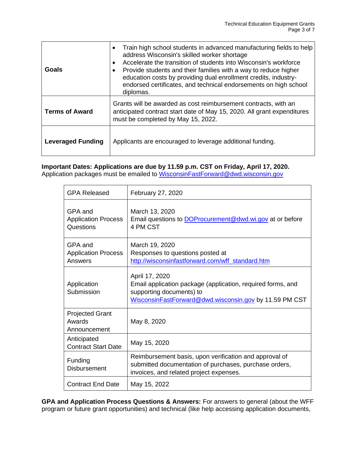| Goals                    | Train high school students in advanced manufacturing fields to help<br>address Wisconsin's skilled worker shortage<br>Accelerate the transition of students into Wisconsin's workforce<br>Provide students and their families with a way to reduce higher<br>education costs by providing dual enrollment credits, industry-<br>endorsed certificates, and technical endorsements on high school<br>diplomas. |
|--------------------------|---------------------------------------------------------------------------------------------------------------------------------------------------------------------------------------------------------------------------------------------------------------------------------------------------------------------------------------------------------------------------------------------------------------|
| <b>Terms of Award</b>    | Grants will be awarded as cost reimbursement contracts, with an<br>anticipated contract start date of May 15, 2020. All grant expenditures<br>must be completed by May 15, 2022.                                                                                                                                                                                                                              |
| <b>Leveraged Funding</b> | Applicants are encouraged to leverage additional funding.                                                                                                                                                                                                                                                                                                                                                     |

## **Important Dates: Applications are due by 11.59 p.m. CST on Friday, April 17, 2020.**

Application packages must be emailed to [WisconsinFastForward@dwd.wisconsin.gov](mailto:WisconsinFastForward@dwd.wisconsin.gov)

| <b>GPA Released</b>                                | February 27, 2020                                                                                                                                                   |
|----------------------------------------------------|---------------------------------------------------------------------------------------------------------------------------------------------------------------------|
| GPA and<br><b>Application Process</b><br>Questions | March 13, 2020<br>Email questions to <b>DOP</b> rocurement @dwd.wi.gov at or before<br>4 PM CST                                                                     |
| GPA and<br><b>Application Process</b><br>Answers   | March 19, 2020<br>Responses to questions posted at<br>http://wisconsinfastforward.com/wff_standard.htm                                                              |
| Application<br>Submission                          | April 17, 2020<br>Email application package (application, required forms, and<br>supporting documents) to<br>WisconsinFastForward@dwd.wisconsin.gov by 11.59 PM CST |
| <b>Projected Grant</b><br>Awards<br>Announcement   | May 8, 2020                                                                                                                                                         |
| Anticipated<br><b>Contract Start Date</b>          | May 15, 2020                                                                                                                                                        |
| Funding<br><b>Disbursement</b>                     | Reimbursement basis, upon verification and approval of<br>submitted documentation of purchases, purchase orders,<br>invoices, and related project expenses.         |
| <b>Contract End Date</b>                           | May 15, 2022                                                                                                                                                        |

**GPA and Application Process Questions & Answers:** For answers to general (about the WFF program or future grant opportunities) and technical (like help accessing application documents,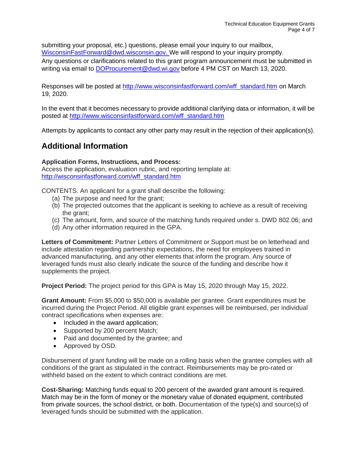submitting your proposal, etc.) questions, please email your inquiry to our mailbox, [WisconsinFastForward@dwd.wisconsin.gov.](mailto:WisconsinFastForward@dwd.wisconsin.gov) We will respond to your inquiry promptly. Any questions or clarifications related to this grant program announcement must be submitted in writing via email to [DOProcurement@dwd.wi.gov](mailto:DOProcurement@dwd.wi.gov) before 4 PM CST on March 13, 2020.

Responses will be posted at [http://www.wisconsinfastforward.com/wff\\_standard.htm](http://www.wisconsinfastforward.com/wff_standard.htm) on March 19, 2020.

In the event that it becomes necessary to provide additional clarifying data or information, it will be posted at [http://www.wisconsinfastforward.com/wff\\_standard.htm](http://www.wisconsinfastforward.com/wff_standard.htm)

Attempts by applicants to contact any other party may result in the rejection of their application(s).

# **Additional Information**

### **Application Forms, Instructions, and Process:**

Access the application, evaluation rubric, and reporting template at: [http://wisconsinfastforward.com/wff\\_standard.htm](http://wisconsinfastforward.com/wff_standard.htm)

CONTENTS. An applicant for a grant shall describe the following:

- (a) The purpose and need for the grant;
- (b) The projected outcomes that the applicant is seeking to achieve as a result of receiving the grant;
- (c) The amount, form, and source of the matching funds required under s. DWD 802.06; and
- (d) Any other information required in the GPA.

**Letters of Commitment:** Partner Letters of Commitment or Support must be on letterhead and include attestation regarding partnership expectations, the need for employees trained in advanced manufacturing, and any other elements that inform the program. Any source of leveraged funds must also clearly indicate the source of the funding and describe how it supplements the project.

**Project Period:** The project period for this GPA is May 15, 2020 through May 15, 2022.

**Grant Amount:** From \$5,000 to \$50,000 is available per grantee. Grant expenditures must be incurred during the Project Period. All eligible grant expenses will be reimbursed, per individual contract specifications when expenses are:

- Included in the award application;
- Supported by 200 percent Match;
- Paid and documented by the grantee; and
- Approved by OSD.

Disbursement of grant funding will be made on a rolling basis when the grantee complies with all conditions of the grant as stipulated in the contract. Reimbursements may be pro-rated or withheld based on the extent to which contract conditions are met.

**Cost-Sharing:** Matching funds equal to 200 percent of the awarded grant amount is required. Match may be in the form of money or the monetary value of donated equipment, contributed from private sources, the school district, or both. Documentation of the type(s) and source(s) of leveraged funds should be submitted with the application.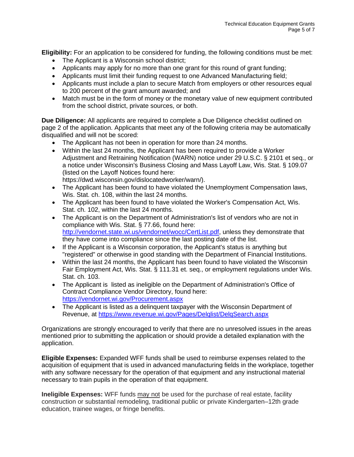**Eligibility:** For an application to be considered for funding, the following conditions must be met:

- The Applicant is a Wisconsin school district;
- Applicants may apply for no more than one grant for this round of grant funding;
- Applicants must limit their funding request to one Advanced Manufacturing field;
- Applicants must include a plan to secure Match from employers or other resources equal to 200 percent of the grant amount awarded; and
- Match must be in the form of money or the monetary value of new equipment contributed from the school district, private sources, or both.

**Due Diligence:** All applicants are required to complete a Due Diligence checklist outlined on page 2 of the application. Applicants that meet any of the following criteria may be automatically disqualified and will not be scored:

- The Applicant has not been in operation for more than 24 months.
- Within the last 24 months, the Applicant has been required to provide a Worker Adjustment and Retraining Notification (WARN) notice under 29 U.S.C. § 2101 et seq., or a notice under Wisconsin's Business Closing and Mass Layoff Law, Wis. Stat. § 109.07 (listed on the Layoff Notices found here: https://dwd.wisconsin.gov/dislocatedworker/warn/).
- The Applicant has been found to have violated the Unemployment Compensation laws, Wis. Stat. ch. 108, within the last 24 months.
- The Applicant has been found to have violated the Worker's Compensation Act, Wis. Stat. ch. 102, within the last 24 months.
- The Applicant is on the Department of Administration's list of vendors who are not in compliance with Wis. Stat. § 77.66, found here: [http://vendornet.state.wi.us/vendornet/wocc/CertList.pdf,](http://vendornet.state.wi.us/vendornet/wocc/CertList.pdf) unless they demonstrate that they have come into compliance since the last posting date of the list.
- If the Applicant is a Wisconsin corporation, the Applicant's status is anything but "registered" or otherwise in good standing with the Department of Financial Institutions.
- Within the last 24 months, the Applicant has been found to have violated the Wisconsin Fair Employment Act, Wis. Stat. § 111.31 et. seq., or employment regulations under Wis. Stat. ch. 103.
- The Applicant is listed as ineligible on the Department of Administration's Office of Contract Compliance Vendor Directory, found here: <https://vendornet.wi.gov/Procurement.aspx>
- The Applicant is listed as a delinquent taxpayer with the Wisconsin Department of Revenue, at<https://www.revenue.wi.gov/Pages/Delqlist/DelqSearch.aspx>

Organizations are strongly encouraged to verify that there are no unresolved issues in the areas mentioned prior to submitting the application or should provide a detailed explanation with the application.

**Eligible Expenses:** Expanded WFF funds shall be used to reimburse expenses related to the acquisition of equipment that is used in advanced manufacturing fields in the workplace, together with any software necessary for the operation of that equipment and any instructional material necessary to train pupils in the operation of that equipment.

**Ineligible Expenses:** WFF funds may not be used for the purchase of real estate, facility construction or substantial remodeling, traditional public or private Kindergarten–12th grade education, trainee wages, or fringe benefits.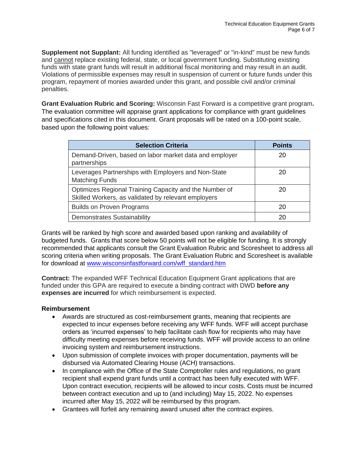**Supplement not Supplant:** All funding identified as "leveraged" or "in-kind" must be new funds and cannot replace existing federal, state, or local government funding. Substituting existing funds with state grant funds will result in additional fiscal monitoring and may result in an audit. Violations of permissible expenses may result in suspension of current or future funds under this program, repayment of monies awarded under this grant, and possible civil and/or criminal penalties.

**Grant Evaluation Rubric and Scoring:** Wisconsin Fast Forward is a competitive grant program**.** The evaluation committee will appraise grant applications for compliance with grant guidelines and specifications cited in this document. Grant proposals will be rated on a 100-point scale, based upon the following point values:

| <b>Selection Criteria</b>                                                                                     | <b>Points</b> |
|---------------------------------------------------------------------------------------------------------------|---------------|
| Demand-Driven, based on labor market data and employer<br>partnerships                                        | 20            |
| Leverages Partnerships with Employers and Non-State<br><b>Matching Funds</b>                                  | 20            |
| Optimizes Regional Training Capacity and the Number of<br>Skilled Workers, as validated by relevant employers | 20            |
| <b>Builds on Proven Programs</b>                                                                              | 20            |
| <b>Demonstrates Sustainability</b>                                                                            | 20            |

Grants will be ranked by high score and awarded based upon ranking and availability of budgeted funds. Grants that score below 50 points will not be eligible for funding. It is strongly recommended that applicants consult the Grant Evaluation Rubric and Scoresheet to address all scoring criteria when writing proposals. The Grant Evaluation Rubric and Scoresheet is available for download at [www.wisconsinfastforward.com/wff\\_standard.htm](http://www.wisconsinfastforward.com/wff_standard.htm)

**Contract:** The expanded WFF Technical Education Equipment Grant applications that are funded under this GPA are required to execute a binding contract with DWD **before any expenses are incurred** for which reimbursement is expected.

### **Reimbursement**

- Awards are structured as cost-reimbursement grants, meaning that recipients are expected to incur expenses before receiving any WFF funds. WFF will accept purchase orders as 'incurred expenses' to help facilitate cash flow for recipients who may have difficulty meeting expenses before receiving funds. WFF will provide access to an online invoicing system and reimbursement instructions.
- Upon submission of complete invoices with proper documentation, payments will be disbursed via Automated Clearing House (ACH) transactions.
- In compliance with the Office of the State Comptroller rules and regulations, no grant recipient shall expend grant funds until a contract has been fully executed with WFF. Upon contract execution, recipients will be allowed to incur costs. Costs must be incurred between contract execution and up to (and including) May 15, 2022. No expenses incurred after May 15, 2022 will be reimbursed by this program.
- Grantees will forfeit any remaining award unused after the contract expires.